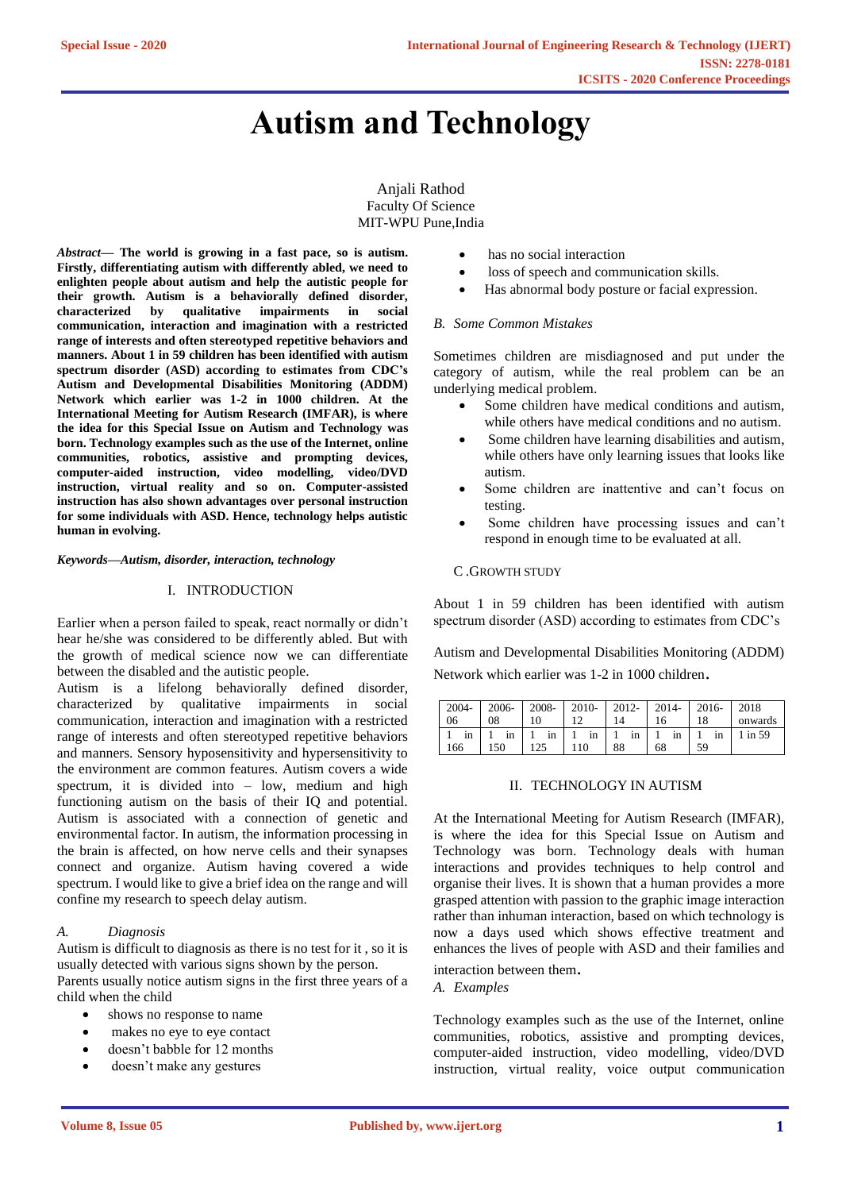# **Autism and Technology**

Anjali Rathod Faculty Of Science MIT-WPU Pune,India

*Abstract—* **The world is growing in a fast pace, so is autism. Firstly, differentiating autism with differently abled, we need to enlighten people about autism and help the autistic people for their growth. Autism is a behaviorally defined disorder, characterized by qualitative impairments in social communication, interaction and imagination with a restricted range of interests and often stereotyped repetitive behaviors and manners. About 1 in 59 children has been identified with autism spectrum disorder (ASD) according to estimates from CDC's Autism and Developmental Disabilities Monitoring (ADDM) Network which earlier was 1-2 in 1000 children. At the International Meeting for Autism Research (IMFAR), is where the idea for this Special Issue on Autism and Technology was born. Technology examples such as the use of the Internet, online communities, robotics, assistive and prompting devices, computer-aided instruction, video modelling, video/DVD instruction, virtual reality and so on. Computer-assisted instruction has also shown advantages over personal instruction for some individuals with ASD. Hence, technology helps autistic human in evolving.**

*Keywords—Autism, disorder, interaction, technology*

# I. INTRODUCTION

Earlier when a person failed to speak, react normally or didn't hear he/she was considered to be differently abled. But with the growth of medical science now we can differentiate between the disabled and the autistic people.

Autism is a lifelong behaviorally defined disorder, characterized by qualitative impairments in social communication, interaction and imagination with a restricted range of interests and often stereotyped repetitive behaviors and manners. Sensory hyposensitivity and hypersensitivity to the environment are common features. Autism covers a wide spectrum, it is divided into – low, medium and high functioning autism on the basis of their IQ and potential. Autism is associated with a connection of genetic and environmental factor. In autism, the information processing in the brain is affected, on how nerve cells and their synapses connect and organize. Autism having covered a wide spectrum. I would like to give a brief idea on the range and will confine my research to speech delay autism.

# *A. Diagnosis*

Autism is difficult to diagnosis as there is no test for it , so it is usually detected with various signs shown by the person. Parents usually notice autism signs in the first three years of a child when the child

- shows no response to name
- makes no eye to eye contact
- doesn't babble for 12 months
- doesn't make any gestures
- has no social interaction
- loss of speech and communication skills.
- Has abnormal body posture or facial expression.

# *B. Some Common Mistakes*

Sometimes children are misdiagnosed and put under the category of autism, while the real problem can be an underlying medical problem.

- Some children have medical conditions and autism, while others have medical conditions and no autism.
- Some children have learning disabilities and autism, while others have only learning issues that looks like autism.
- Some children are inattentive and can't focus on testing.
- Some children have processing issues and can't respond in enough time to be evaluated at all.

### C .GROWTH STUDY

About 1 in 59 children has been identified with autism spectrum disorder (ASD) according to estimates from CDC's

Autism and Developmental Disabilities Monitoring (ADDM) Network which earlier was 1-2 in 1000 children.

|      |     |         |     |    | 2004-   2006-   2008-   2010-   2012-   2014-   2016-   2018 |                                                                                                                                    |
|------|-----|---------|-----|----|--------------------------------------------------------------|------------------------------------------------------------------------------------------------------------------------------------|
| l 06 | 08  | 10      | 14  | 16 |                                                              | 18 onwards                                                                                                                         |
|      |     |         |     |    |                                                              | $1 \text{ in } 1 \text{ in } 1 \text{ in } 1 \text{ in } 1 \text{ in } 1 \text{ in } 1 \text{ in } 1 \text{ in } 1 \text{ in } 59$ |
| 166  | 150 | 125 110 | -88 | 68 | -59                                                          |                                                                                                                                    |

# II. TECHNOLOGY IN AUTISM

At the International Meeting for Autism Research (IMFAR), is where the idea for this Special Issue on Autism and Technology was born. Technology deals with human interactions and provides techniques to help control and organise their lives. It is shown that a human provides a more grasped attention with passion to the graphic image interaction rather than inhuman interaction, based on which technology is now a days used which shows effective treatment and enhances the lives of people with ASD and their families and

interaction between them.

*A. Examples*

Technology examples such as the use of the Internet, online communities, robotics, assistive and prompting devices, computer-aided instruction, video modelling, video/DVD instruction, virtual reality, voice output communication